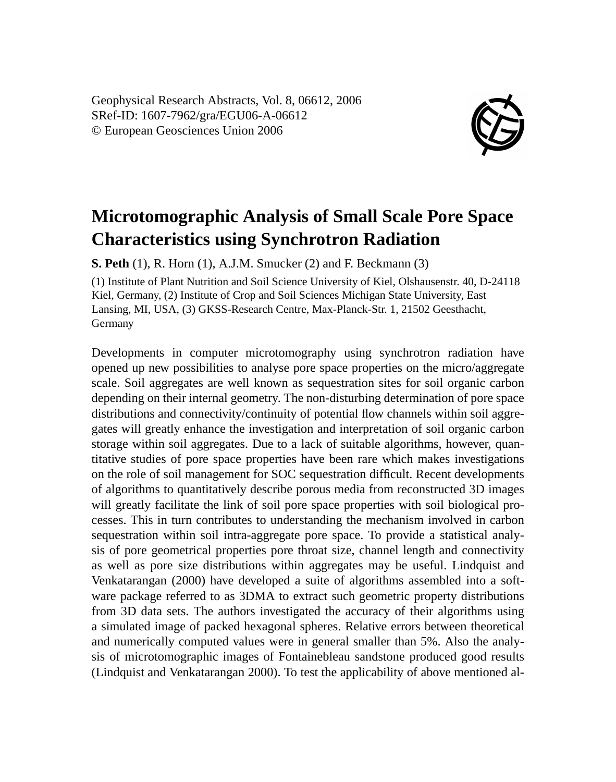Geophysical Research Abstracts, Vol. 8, 06612, 2006 SRef-ID: 1607-7962/gra/EGU06-A-06612 © European Geosciences Union 2006



## **Microtomographic Analysis of Small Scale Pore Space Characteristics using Synchrotron Radiation**

**S. Peth** (1), R. Horn (1), A.J.M. Smucker (2) and F. Beckmann (3)

(1) Institute of Plant Nutrition and Soil Science University of Kiel, Olshausenstr. 40, D-24118 Kiel, Germany, (2) Institute of Crop and Soil Sciences Michigan State University, East Lansing, MI, USA, (3) GKSS-Research Centre, Max-Planck-Str. 1, 21502 Geesthacht, Germany

Developments in computer microtomography using synchrotron radiation have opened up new possibilities to analyse pore space properties on the micro/aggregate scale. Soil aggregates are well known as sequestration sites for soil organic carbon depending on their internal geometry. The non-disturbing determination of pore space distributions and connectivity/continuity of potential flow channels within soil aggregates will greatly enhance the investigation and interpretation of soil organic carbon storage within soil aggregates. Due to a lack of suitable algorithms, however, quantitative studies of pore space properties have been rare which makes investigations on the role of soil management for SOC sequestration difficult. Recent developments of algorithms to quantitatively describe porous media from reconstructed 3D images will greatly facilitate the link of soil pore space properties with soil biological processes. This in turn contributes to understanding the mechanism involved in carbon sequestration within soil intra-aggregate pore space. To provide a statistical analysis of pore geometrical properties pore throat size, channel length and connectivity as well as pore size distributions within aggregates may be useful. Lindquist and Venkatarangan (2000) have developed a suite of algorithms assembled into a software package referred to as 3DMA to extract such geometric property distributions from 3D data sets. The authors investigated the accuracy of their algorithms using a simulated image of packed hexagonal spheres. Relative errors between theoretical and numerically computed values were in general smaller than 5%. Also the analysis of microtomographic images of Fontainebleau sandstone produced good results (Lindquist and Venkatarangan 2000). To test the applicability of above mentioned al